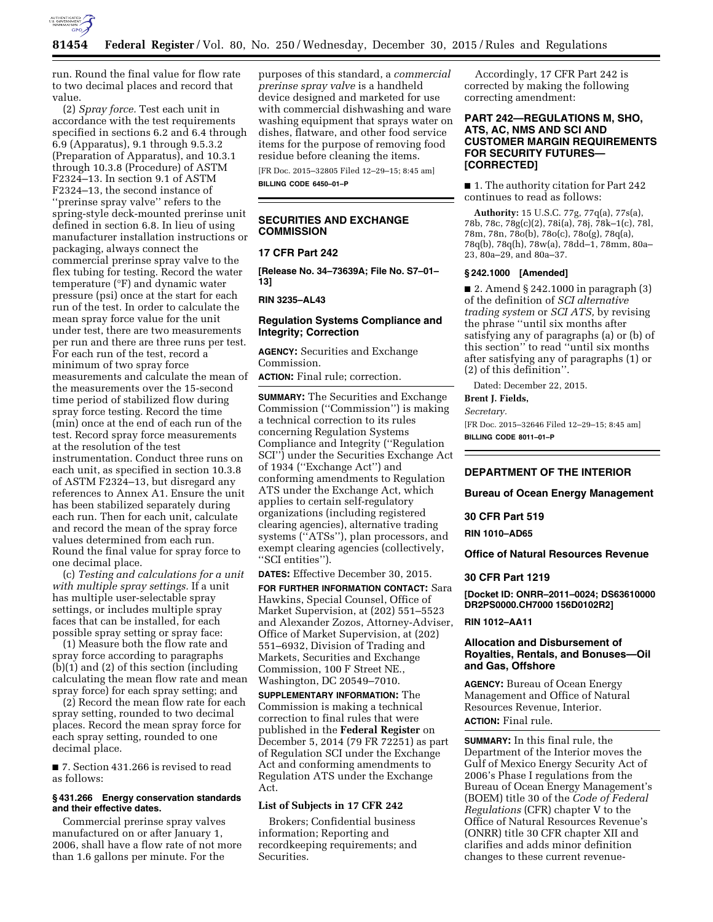

run. Round the final value for flow rate to two decimal places and record that value.

(2) *Spray force.* Test each unit in accordance with the test requirements specified in sections 6.2 and 6.4 through 6.9 (Apparatus), 9.1 through 9.5.3.2 (Preparation of Apparatus), and 10.3.1 through 10.3.8 (Procedure) of ASTM F2324–13. In section 9.1 of ASTM F2324–13, the second instance of ''prerinse spray valve'' refers to the spring-style deck-mounted prerinse unit defined in section 6.8. In lieu of using manufacturer installation instructions or packaging, always connect the commercial prerinse spray valve to the flex tubing for testing. Record the water temperature (°F) and dynamic water pressure (psi) once at the start for each run of the test. In order to calculate the mean spray force value for the unit under test, there are two measurements per run and there are three runs per test. For each run of the test, record a minimum of two spray force measurements and calculate the mean of the measurements over the 15-second time period of stabilized flow during spray force testing. Record the time (min) once at the end of each run of the test. Record spray force measurements at the resolution of the test instrumentation. Conduct three runs on each unit, as specified in section 10.3.8 of ASTM F2324–13, but disregard any references to Annex A1. Ensure the unit has been stabilized separately during each run. Then for each unit, calculate and record the mean of the spray force values determined from each run. Round the final value for spray force to one decimal place.

(c) *Testing and calculations for a unit with multiple spray settings.* If a unit has multiple user-selectable spray settings, or includes multiple spray faces that can be installed, for each possible spray setting or spray face:

(1) Measure both the flow rate and spray force according to paragraphs (b)(1) and (2) of this section (including calculating the mean flow rate and mean spray force) for each spray setting; and

(2) Record the mean flow rate for each spray setting, rounded to two decimal places. Record the mean spray force for each spray setting, rounded to one decimal place.

■ 7. Section 431.266 is revised to read as follows:

#### **§ 431.266 Energy conservation standards and their effective dates.**

Commercial prerinse spray valves manufactured on or after January 1, 2006, shall have a flow rate of not more than 1.6 gallons per minute. For the

purposes of this standard, a *commercial prerinse spray valve* is a handheld device designed and marketed for use with commercial dishwashing and ware washing equipment that sprays water on dishes, flatware, and other food service items for the purpose of removing food residue before cleaning the items.

[FR Doc. 2015–32805 Filed 12–29–15; 8:45 am] **BILLING CODE 6450–01–P** 

# **SECURITIES AND EXCHANGE COMMISSION**

# **17 CFR Part 242**

**[Release No. 34–73639A; File No. S7–01– 13]** 

**RIN 3235–AL43** 

### **Regulation Systems Compliance and Integrity; Correction**

**AGENCY:** Securities and Exchange Commission.

**ACTION:** Final rule; correction.

**SUMMARY:** The Securities and Exchange Commission (''Commission'') is making a technical correction to its rules concerning Regulation Systems Compliance and Integrity (''Regulation SCI'') under the Securities Exchange Act of 1934 (''Exchange Act'') and conforming amendments to Regulation ATS under the Exchange Act, which applies to certain self-regulatory organizations (including registered clearing agencies), alternative trading systems (''ATSs''), plan processors, and exempt clearing agencies (collectively, ''SCI entities'').

**DATES:** Effective December 30, 2015.

**FOR FURTHER INFORMATION CONTACT:** Sara Hawkins, Special Counsel, Office of Market Supervision, at (202) 551–5523 and Alexander Zozos, Attorney-Adviser, Office of Market Supervision, at (202) 551–6932, Division of Trading and Markets, Securities and Exchange Commission, 100 F Street NE., Washington, DC 20549–7010.

**SUPPLEMENTARY INFORMATION:** The Commission is making a technical correction to final rules that were published in the **Federal Register** on December 5, 2014 (79 FR 72251) as part of Regulation SCI under the Exchange Act and conforming amendments to Regulation ATS under the Exchange Act.

### **List of Subjects in 17 CFR 242**

Brokers; Confidential business information; Reporting and recordkeeping requirements; and Securities.

Accordingly, 17 CFR Part 242 is corrected by making the following correcting amendment:

# **PART 242—REGULATIONS M, SHO, ATS, AC, NMS AND SCI AND CUSTOMER MARGIN REQUIREMENTS FOR SECURITY FUTURES— [CORRECTED]**

■ 1. The authority citation for Part 242 continues to read as follows:

**Authority:** 15 U.S.C. 77g, 77q(a), 77s(a), 78b, 78c, 78g(c)(2), 78i(a), 78j, 78k–1(c), 78l, 78m, 78n, 78o(b), 78o(c), 78o(g), 78q(a), 78q(b), 78q(h), 78w(a), 78dd–1, 78mm, 80a– 23, 80a–29, and 80a–37.

#### **§ 242.1000 [Amended]**

■ 2. Amend § 242.1000 in paragraph (3) of the definition of *SCI alternative trading system* or *SCI ATS,* by revising the phrase ''until six months after satisfying any of paragraphs (a) or (b) of this section'' to read ''until six months after satisfying any of paragraphs (1) or (2) of this definition''.

Dated: December 22, 2015.

**Brent J. Fields,** 

# *Secretary.*

[FR Doc. 2015–32646 Filed 12–29–15; 8:45 am] **BILLING CODE 8011–01–P** 

## **DEPARTMENT OF THE INTERIOR**

**Bureau of Ocean Energy Management** 

#### **30 CFR Part 519**

**RIN 1010–AD65** 

**Office of Natural Resources Revenue** 

### **30 CFR Part 1219**

**[Docket ID: ONRR–2011–0024; DS63610000 DR2PS0000.CH7000 156D0102R2]** 

### **RIN 1012–AA11**

# **Allocation and Disbursement of Royalties, Rentals, and Bonuses—Oil and Gas, Offshore**

**AGENCY:** Bureau of Ocean Energy Management and Office of Natural Resources Revenue, Interior. **ACTION:** Final rule.

**SUMMARY:** In this final rule, the Department of the Interior moves the Gulf of Mexico Energy Security Act of 2006's Phase I regulations from the Bureau of Ocean Energy Management's (BOEM) title 30 of the *Code of Federal Regulations* (CFR) chapter V to the Office of Natural Resources Revenue's (ONRR) title 30 CFR chapter XII and clarifies and adds minor definition changes to these current revenue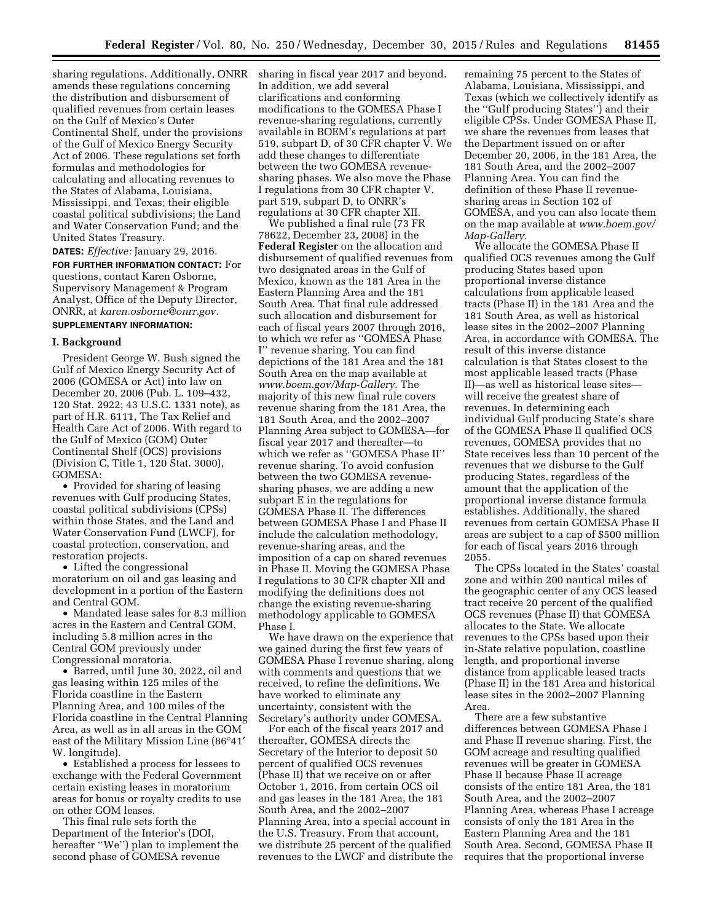sharing regulations. Additionally, ONRR amends these regulations concerning the distribution and disbursement of qualified revenues from certain leases on the Gulf of Mexico's Outer Continental Shelf, under the provisions of the Gulf of Mexico Energy Security Act of 2006. These regulations set forth formulas and methodologies for calculating and allocating revenues to the States of Alabama, Louisiana, Mississippi, and Texas; their eligible coastal political subdivisions; the Land and Water Conservation Fund; and the United States Treasury.

**DATES:** *Effective:* January 29, 2016. **FOR FURTHER INFORMATION CONTACT:** For questions, contact Karen Osborne, Supervisory Management & Program Analyst, Office of the Deputy Director, ONRR, at *[karen.osborne@onrr.gov.](mailto:karen.osborne@onrr.gov)*  **SUPPLEMENTARY INFORMATION:** 

### **I. Background**

President George W. Bush signed the Gulf of Mexico Energy Security Act of 2006 (GOMESA or Act) into law on December 20, 2006 (Pub. L. 109–432, 120 Stat. 2922; 43 U.S.C. 1331 note), as part of H.R. 6111, The Tax Relief and Health Care Act of 2006. With regard to the Gulf of Mexico (GOM) Outer Continental Shelf (OCS) provisions (Division C, Title 1, 120 Stat. 3000), GOMESA:

• Provided for sharing of leasing revenues with Gulf producing States, coastal political subdivisions (CPSs) within those States, and the Land and Water Conservation Fund (LWCF), for coastal protection, conservation, and restoration projects.

• Lifted the congressional moratorium on oil and gas leasing and development in a portion of the Eastern and Central GOM.

• Mandated lease sales for 8.3 million acres in the Eastern and Central GOM, including 5.8 million acres in the Central GOM previously under Congressional moratoria.

• Barred, until June 30, 2022, oil and gas leasing within 125 miles of the Florida coastline in the Eastern Planning Area, and 100 miles of the Florida coastline in the Central Planning Area, as well as in all areas in the GOM east of the Military Mission Line (86°41′ W. longitude).

• Established a process for lessees to exchange with the Federal Government certain existing leases in moratorium areas for bonus or royalty credits to use on other GOM leases.

This final rule sets forth the Department of the Interior's (DOI, hereafter ''We'') plan to implement the second phase of GOMESA revenue

sharing in fiscal year 2017 and beyond. In addition, we add several clarifications and conforming modifications to the GOMESA Phase I revenue-sharing regulations, currently available in BOEM's regulations at part 519, subpart D, of 30 CFR chapter V. We add these changes to differentiate between the two GOMESA revenuesharing phases. We also move the Phase I regulations from 30 CFR chapter V, part 519, subpart D, to ONRR's regulations at 30 CFR chapter XII.

We published a final rule (73 FR 78622, December 23, 2008) in the **Federal Register** on the allocation and disbursement of qualified revenues from two designated areas in the Gulf of Mexico, known as the 181 Area in the Eastern Planning Area and the 181 South Area. That final rule addressed such allocation and disbursement for each of fiscal years 2007 through 2016, to which we refer as ''GOMESA Phase I'' revenue sharing. You can find depictions of the 181 Area and the 181 South Area on the map available at *[www.boem.gov/Map-Gallery.](http://www.boem.gov/Map-Gallery)* The majority of this new final rule covers revenue sharing from the 181 Area, the 181 South Area, and the 2002–2007 Planning Area subject to GOMESA—for fiscal year 2017 and thereafter—to which we refer as ''GOMESA Phase II'' revenue sharing. To avoid confusion between the two GOMESA revenuesharing phases, we are adding a new subpart E in the regulations for GOMESA Phase II. The differences between GOMESA Phase I and Phase II include the calculation methodology, revenue-sharing areas, and the imposition of a cap on shared revenues in Phase II. Moving the GOMESA Phase I regulations to 30 CFR chapter XII and modifying the definitions does not change the existing revenue-sharing methodology applicable to GOMESA Phase I.

We have drawn on the experience that we gained during the first few years of GOMESA Phase I revenue sharing, along with comments and questions that we received, to refine the definitions. We have worked to eliminate any uncertainty, consistent with the Secretary's authority under GOMESA.

For each of the fiscal years 2017 and thereafter, GOMESA directs the Secretary of the Interior to deposit 50 percent of qualified OCS revenues (Phase II) that we receive on or after October 1, 2016, from certain OCS oil and gas leases in the 181 Area, the 181 South Area, and the 2002–2007 Planning Area, into a special account in the U.S. Treasury. From that account, we distribute 25 percent of the qualified revenues to the LWCF and distribute the remaining 75 percent to the States of Alabama, Louisiana, Mississippi, and Texas (which we collectively identify as the ''Gulf producing States'') and their eligible CPSs. Under GOMESA Phase II, we share the revenues from leases that the Department issued on or after December 20, 2006, in the 181 Area, the 181 South Area, and the 2002–2007 Planning Area. You can find the definition of these Phase II revenuesharing areas in Section 102 of GOMESA, and you can also locate them on the map available at *[www.boem.gov/](http://www.boem.gov/Map-Gallery)  [Map-Gallery.](http://www.boem.gov/Map-Gallery)* 

We allocate the GOMESA Phase II qualified OCS revenues among the Gulf producing States based upon proportional inverse distance calculations from applicable leased tracts (Phase II) in the 181 Area and the 181 South Area, as well as historical lease sites in the 2002–2007 Planning Area, in accordance with GOMESA. The result of this inverse distance calculation is that States closest to the most applicable leased tracts (Phase II)—as well as historical lease sites will receive the greatest share of revenues. In determining each individual Gulf producing State's share of the GOMESA Phase II qualified OCS revenues, GOMESA provides that no State receives less than 10 percent of the revenues that we disburse to the Gulf producing States, regardless of the amount that the application of the proportional inverse distance formula establishes. Additionally, the shared revenues from certain GOMESA Phase II areas are subject to a cap of \$500 million for each of fiscal years 2016 through 2055.

The CPSs located in the States' coastal zone and within 200 nautical miles of the geographic center of any OCS leased tract receive 20 percent of the qualified OCS revenues (Phase II) that GOMESA allocates to the State. We allocate revenues to the CPSs based upon their in-State relative population, coastline length, and proportional inverse distance from applicable leased tracts (Phase II) in the 181 Area and historical lease sites in the 2002–2007 Planning Area.

There are a few substantive differences between GOMESA Phase I and Phase II revenue sharing. First, the GOM acreage and resulting qualified revenues will be greater in GOMESA Phase II because Phase II acreage consists of the entire 181 Area, the 181 South Area, and the 2002–2007 Planning Area, whereas Phase I acreage consists of only the 181 Area in the Eastern Planning Area and the 181 South Area. Second, GOMESA Phase II requires that the proportional inverse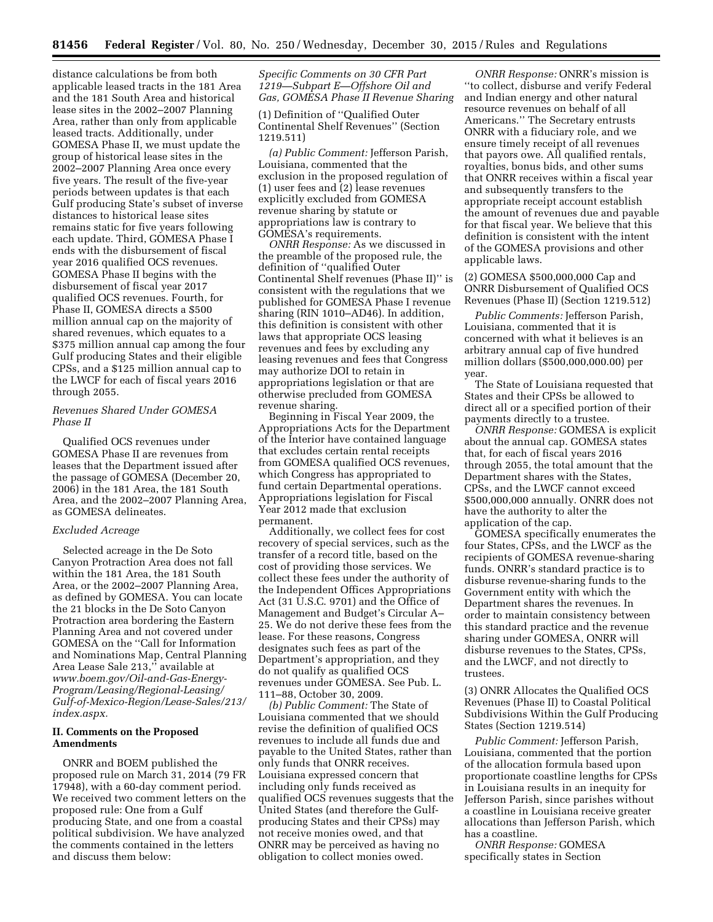distance calculations be from both applicable leased tracts in the 181 Area and the 181 South Area and historical lease sites in the 2002–2007 Planning Area, rather than only from applicable leased tracts. Additionally, under GOMESA Phase II, we must update the group of historical lease sites in the 2002–2007 Planning Area once every five years. The result of the five-year periods between updates is that each Gulf producing State's subset of inverse distances to historical lease sites remains static for five years following each update. Third, GOMESA Phase I ends with the disbursement of fiscal year 2016 qualified OCS revenues. GOMESA Phase II begins with the disbursement of fiscal year 2017 qualified OCS revenues. Fourth, for Phase II, GOMESA directs a \$500 million annual cap on the majority of shared revenues, which equates to a \$375 million annual cap among the four Gulf producing States and their eligible CPSs, and a \$125 million annual cap to the LWCF for each of fiscal years 2016 through 2055.

# *Revenues Shared Under GOMESA Phase II*

Qualified OCS revenues under GOMESA Phase II are revenues from leases that the Department issued after the passage of GOMESA (December 20, 2006) in the 181 Area, the 181 South Area, and the 2002–2007 Planning Area, as GOMESA delineates.

# *Excluded Acreage*

Selected acreage in the De Soto Canyon Protraction Area does not fall within the 181 Area, the 181 South Area, or the 2002–2007 Planning Area, as defined by GOMESA. You can locate the 21 blocks in the De Soto Canyon Protraction area bordering the Eastern Planning Area and not covered under GOMESA on the ''Call for Information and Nominations Map, Central Planning Area Lease Sale 213,'' available at *[www.boem.gov/Oil-and-Gas-Energy-](http://www.boem.gov/Oil-and-Gas-Energy-Program/Leasing/Regional-Leasing/Gulf-of-Mexico-Region/Lease-Sales/213/index.aspx)[Program/Leasing/Regional-Leasing/](http://www.boem.gov/Oil-and-Gas-Energy-Program/Leasing/Regional-Leasing/Gulf-of-Mexico-Region/Lease-Sales/213/index.aspx) [Gulf-of-Mexico-Region/Lease-Sales/213/](http://www.boem.gov/Oil-and-Gas-Energy-Program/Leasing/Regional-Leasing/Gulf-of-Mexico-Region/Lease-Sales/213/index.aspx) [index.aspx.](http://www.boem.gov/Oil-and-Gas-Energy-Program/Leasing/Regional-Leasing/Gulf-of-Mexico-Region/Lease-Sales/213/index.aspx)* 

## **II. Comments on the Proposed Amendments**

ONRR and BOEM published the proposed rule on March 31, 2014 (79 FR 17948), with a 60-day comment period. We received two comment letters on the proposed rule: One from a Gulf producing State, and one from a coastal political subdivision. We have analyzed the comments contained in the letters and discuss them below:

### *Specific Comments on 30 CFR Part 1219—Subpart E—Offshore Oil and Gas, GOMESA Phase II Revenue Sharing*

(1) Definition of ''Qualified Outer Continental Shelf Revenues'' (Section 1219.511)

*(a) Public Comment:* Jefferson Parish, Louisiana, commented that the exclusion in the proposed regulation of (1) user fees and (2) lease revenues explicitly excluded from GOMESA revenue sharing by statute or appropriations law is contrary to GOMESA's requirements.

*ONRR Response:* As we discussed in the preamble of the proposed rule, the definition of ''qualified Outer Continental Shelf revenues (Phase II)'' is consistent with the regulations that we published for GOMESA Phase I revenue sharing (RIN 1010–AD46). In addition, this definition is consistent with other laws that appropriate OCS leasing revenues and fees by excluding any leasing revenues and fees that Congress may authorize DOI to retain in appropriations legislation or that are otherwise precluded from GOMESA revenue sharing.

Beginning in Fiscal Year 2009, the Appropriations Acts for the Department of the Interior have contained language that excludes certain rental receipts from GOMESA qualified OCS revenues, which Congress has appropriated to fund certain Departmental operations. Appropriations legislation for Fiscal Year 2012 made that exclusion permanent.

Additionally, we collect fees for cost recovery of special services, such as the transfer of a record title, based on the cost of providing those services. We collect these fees under the authority of the Independent Offices Appropriations Act (31 U.S.C. 9701) and the Office of Management and Budget's Circular A– 25. We do not derive these fees from the lease. For these reasons, Congress designates such fees as part of the Department's appropriation, and they do not qualify as qualified OCS revenues under GOMESA. See Pub. L. 111–88, October 30, 2009.

*(b) Public Comment:* The State of Louisiana commented that we should revise the definition of qualified OCS revenues to include all funds due and payable to the United States, rather than only funds that ONRR receives. Louisiana expressed concern that including only funds received as qualified OCS revenues suggests that the United States (and therefore the Gulfproducing States and their CPSs) may not receive monies owed, and that ONRR may be perceived as having no obligation to collect monies owed.

*ONRR Response:* ONRR's mission is ''to collect, disburse and verify Federal and Indian energy and other natural resource revenues on behalf of all Americans.'' The Secretary entrusts ONRR with a fiduciary role, and we ensure timely receipt of all revenues that payors owe. All qualified rentals, royalties, bonus bids, and other sums that ONRR receives within a fiscal year and subsequently transfers to the appropriate receipt account establish the amount of revenues due and payable for that fiscal year. We believe that this definition is consistent with the intent of the GOMESA provisions and other applicable laws.

(2) GOMESA \$500,000,000 Cap and ONRR Disbursement of Qualified OCS Revenues (Phase II) (Section 1219.512)

*Public Comments:* Jefferson Parish, Louisiana, commented that it is concerned with what it believes is an arbitrary annual cap of five hundred million dollars (\$500,000,000.00) per year.

The State of Louisiana requested that States and their CPSs be allowed to direct all or a specified portion of their payments directly to a trustee.

*ONRR Response:* GOMESA is explicit about the annual cap. GOMESA states that, for each of fiscal years 2016 through 2055, the total amount that the Department shares with the States, CPSs, and the LWCF cannot exceed \$500,000,000 annually. ONRR does not have the authority to alter the application of the cap.

GOMESA specifically enumerates the four States, CPSs, and the LWCF as the recipients of GOMESA revenue-sharing funds. ONRR's standard practice is to disburse revenue-sharing funds to the Government entity with which the Department shares the revenues. In order to maintain consistency between this standard practice and the revenue sharing under GOMESA, ONRR will disburse revenues to the States, CPSs, and the LWCF, and not directly to trustees.

(3) ONRR Allocates the Qualified OCS Revenues (Phase II) to Coastal Political Subdivisions Within the Gulf Producing States (Section 1219.514)

*Public Comment:* Jefferson Parish, Louisiana, commented that the portion of the allocation formula based upon proportionate coastline lengths for CPSs in Louisiana results in an inequity for Jefferson Parish, since parishes without a coastline in Louisiana receive greater allocations than Jefferson Parish, which has a coastline.

*ONRR Response:* GOMESA specifically states in Section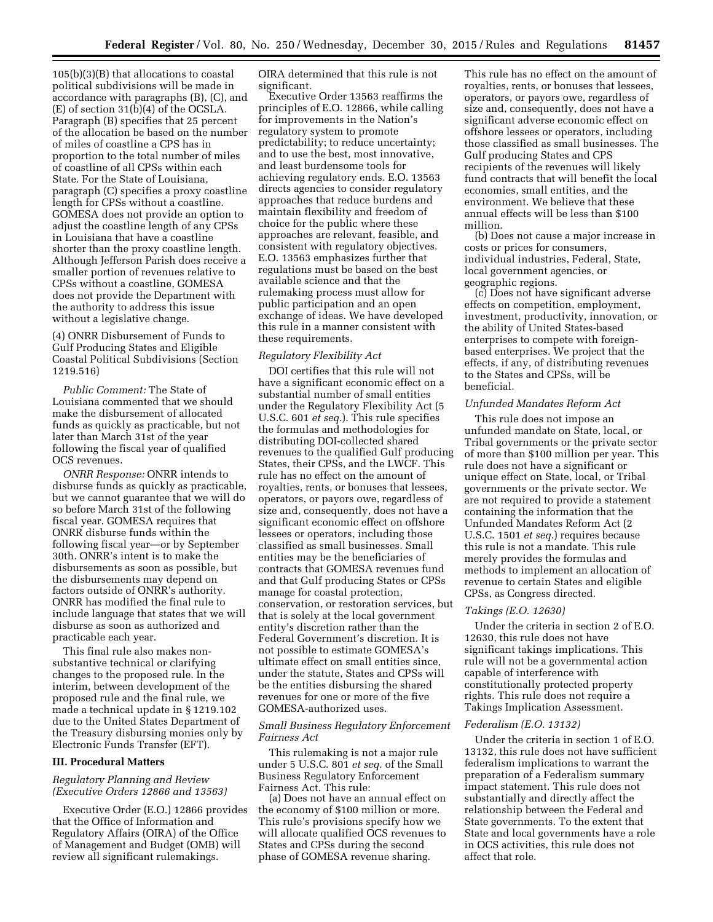105(b)(3)(B) that allocations to coastal political subdivisions will be made in accordance with paragraphs (B), (C), and (E) of section 31(b)(4) of the OCSLA. Paragraph (B) specifies that 25 percent of the allocation be based on the number of miles of coastline a CPS has in proportion to the total number of miles of coastline of all CPSs within each State. For the State of Louisiana, paragraph (C) specifies a proxy coastline length for CPSs without a coastline. GOMESA does not provide an option to adjust the coastline length of any CPSs in Louisiana that have a coastline shorter than the proxy coastline length. Although Jefferson Parish does receive a smaller portion of revenues relative to CPSs without a coastline, GOMESA does not provide the Department with the authority to address this issue without a legislative change.

(4) ONRR Disbursement of Funds to Gulf Producing States and Eligible Coastal Political Subdivisions (Section 1219.516)

*Public Comment:* The State of Louisiana commented that we should make the disbursement of allocated funds as quickly as practicable, but not later than March 31st of the year following the fiscal year of qualified OCS revenues.

*ONRR Response:* ONRR intends to disburse funds as quickly as practicable, but we cannot guarantee that we will do so before March 31st of the following fiscal year. GOMESA requires that ONRR disburse funds within the following fiscal year—or by September 30th. ONRR's intent is to make the disbursements as soon as possible, but the disbursements may depend on factors outside of ONRR's authority. ONRR has modified the final rule to include language that states that we will disburse as soon as authorized and practicable each year.

This final rule also makes nonsubstantive technical or clarifying changes to the proposed rule. In the interim, between development of the proposed rule and the final rule, we made a technical update in § 1219.102 due to the United States Department of the Treasury disbursing monies only by Electronic Funds Transfer (EFT).

#### **III. Procedural Matters**

## *Regulatory Planning and Review (Executive Orders 12866 and 13563)*

Executive Order (E.O.) 12866 provides that the Office of Information and Regulatory Affairs (OIRA) of the Office of Management and Budget (OMB) will review all significant rulemakings.

OIRA determined that this rule is not significant.

Executive Order 13563 reaffirms the principles of E.O. 12866, while calling for improvements in the Nation's regulatory system to promote predictability; to reduce uncertainty; and to use the best, most innovative, and least burdensome tools for achieving regulatory ends. E.O. 13563 directs agencies to consider regulatory approaches that reduce burdens and maintain flexibility and freedom of choice for the public where these approaches are relevant, feasible, and consistent with regulatory objectives. E.O. 13563 emphasizes further that regulations must be based on the best available science and that the rulemaking process must allow for public participation and an open exchange of ideas. We have developed this rule in a manner consistent with these requirements.

### *Regulatory Flexibility Act*

DOI certifies that this rule will not have a significant economic effect on a substantial number of small entities under the Regulatory Flexibility Act (5 U.S.C. 601 *et seq.*). This rule specifies the formulas and methodologies for distributing DOI-collected shared revenues to the qualified Gulf producing States, their CPSs, and the LWCF. This rule has no effect on the amount of royalties, rents, or bonuses that lessees, operators, or payors owe, regardless of size and, consequently, does not have a significant economic effect on offshore lessees or operators, including those classified as small businesses. Small entities may be the beneficiaries of contracts that GOMESA revenues fund and that Gulf producing States or CPSs manage for coastal protection, conservation, or restoration services, but that is solely at the local government entity's discretion rather than the Federal Government's discretion. It is not possible to estimate GOMESA's ultimate effect on small entities since, under the statute, States and CPSs will be the entities disbursing the shared revenues for one or more of the five GOMESA-authorized uses.

### *Small Business Regulatory Enforcement Fairness Act*

This rulemaking is not a major rule under 5 U.S.C. 801 *et seq.* of the Small Business Regulatory Enforcement Fairness Act. This rule:

(a) Does not have an annual effect on the economy of \$100 million or more. This rule's provisions specify how we will allocate qualified OCS revenues to States and CPSs during the second phase of GOMESA revenue sharing.

This rule has no effect on the amount of royalties, rents, or bonuses that lessees, operators, or payors owe, regardless of size and, consequently, does not have a significant adverse economic effect on offshore lessees or operators, including those classified as small businesses. The Gulf producing States and CPS recipients of the revenues will likely fund contracts that will benefit the local economies, small entities, and the environment. We believe that these annual effects will be less than \$100 million.

(b) Does not cause a major increase in costs or prices for consumers, individual industries, Federal, State, local government agencies, or geographic regions.

(c) Does not have significant adverse effects on competition, employment, investment, productivity, innovation, or the ability of United States-based enterprises to compete with foreignbased enterprises. We project that the effects, if any, of distributing revenues to the States and CPSs, will be beneficial.

# *Unfunded Mandates Reform Act*

This rule does not impose an unfunded mandate on State, local, or Tribal governments or the private sector of more than \$100 million per year. This rule does not have a significant or unique effect on State, local, or Tribal governments or the private sector. We are not required to provide a statement containing the information that the Unfunded Mandates Reform Act (2 U.S.C. 1501 *et seq.*) requires because this rule is not a mandate. This rule merely provides the formulas and methods to implement an allocation of revenue to certain States and eligible CPSs, as Congress directed.

#### *Takings (E.O. 12630)*

Under the criteria in section 2 of E.O. 12630, this rule does not have significant takings implications. This rule will not be a governmental action capable of interference with constitutionally protected property rights. This rule does not require a Takings Implication Assessment.

#### *Federalism (E.O. 13132)*

Under the criteria in section 1 of E.O. 13132, this rule does not have sufficient federalism implications to warrant the preparation of a Federalism summary impact statement. This rule does not substantially and directly affect the relationship between the Federal and State governments. To the extent that State and local governments have a role in OCS activities, this rule does not affect that role.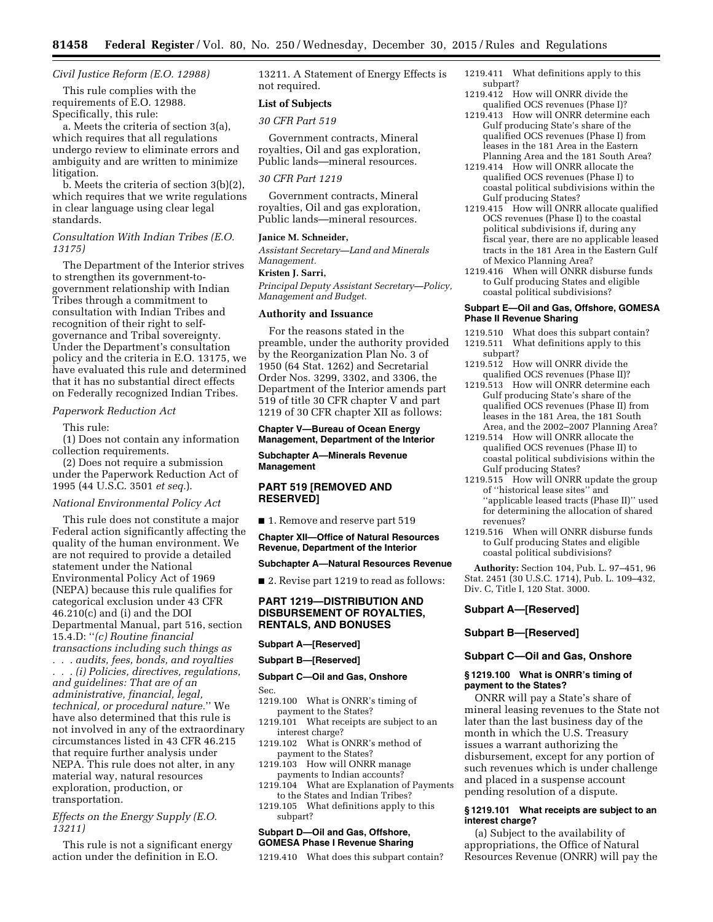# *Civil Justice Reform (E.O. 12988)*

This rule complies with the requirements of E.O. 12988. Specifically, this rule:

a. Meets the criteria of section 3(a), which requires that all regulations undergo review to eliminate errors and ambiguity and are written to minimize litigation.

b. Meets the criteria of section 3(b)(2), which requires that we write regulations in clear language using clear legal standards.

# *Consultation With Indian Tribes (E.O. 13175)*

The Department of the Interior strives to strengthen its government-togovernment relationship with Indian Tribes through a commitment to consultation with Indian Tribes and recognition of their right to selfgovernance and Tribal sovereignty. Under the Department's consultation policy and the criteria in E.O. 13175, we have evaluated this rule and determined that it has no substantial direct effects on Federally recognized Indian Tribes.

### *Paperwork Reduction Act*

This rule:

(1) Does not contain any information collection requirements.

(2) Does not require a submission under the Paperwork Reduction Act of 1995 (44 U.S.C. 3501 *et seq.*).

### *National Environmental Policy Act*

This rule does not constitute a major Federal action significantly affecting the quality of the human environment. We are not required to provide a detailed statement under the National Environmental Policy Act of 1969 (NEPA) because this rule qualifies for categorical exclusion under 43 CFR 46.210(c) and (i) and the DOI Departmental Manual, part 516, section 15.4.D: ''*(c) Routine financial transactions including such things as . . . audits, fees, bonds, and royalties . . . (i) Policies, directives, regulations, and guidelines: That are of an administrative, financial, legal, technical, or procedural nature.*'' We have also determined that this rule is not involved in any of the extraordinary circumstances listed in 43 CFR 46.215 that require further analysis under NEPA. This rule does not alter, in any material way, natural resources exploration, production, or transportation.

## *Effects on the Energy Supply (E.O. 13211)*

This rule is not a significant energy action under the definition in E.O.

13211. A Statement of Energy Effects is not required.

# **List of Subjects**

# *30 CFR Part 519*

Government contracts, Mineral royalties, Oil and gas exploration, Public lands—mineral resources.

# *30 CFR Part 1219*

Government contracts, Mineral royalties, Oil and gas exploration, Public lands—mineral resources.

# **Janice M. Schneider,**

*Assistant Secretary—Land and Minerals Management.* 

### **Kristen J. Sarri,**

*Principal Deputy Assistant Secretary—Policy, Management and Budget.* 

## **Authority and Issuance**

For the reasons stated in the preamble, under the authority provided by the Reorganization Plan No. 3 of 1950 (64 Stat. 1262) and Secretarial Order Nos. 3299, 3302, and 3306, the Department of the Interior amends part 519 of title 30 CFR chapter V and part 1219 of 30 CFR chapter XII as follows:

#### **Chapter V—Bureau of Ocean Energy Management, Department of the Interior**

#### **Subchapter A—Minerals Revenue Management**

# **PART 519 [REMOVED AND RESERVED]**

■ 1. Remove and reserve part 519

**Chapter XII—Office of Natural Resources Revenue, Department of the Interior** 

#### **Subchapter A—Natural Resources Revenue**

■ 2. Revise part 1219 to read as follows:

# **PART 1219—DISTRIBUTION AND DISBURSEMENT OF ROYALTIES, RENTALS, AND BONUSES**

#### **Subpart A—[Reserved]**

#### **Subpart B—[Reserved]**

# **Subpart C—Oil and Gas, Onshore**

Sec.

- 1219.100 What is ONRR's timing of payment to the States?
- 1219.101 What receipts are subject to an interest charge?
- 1219.102 What is ONRR's method of payment to the States?
- 1219.103 How will ONRR manage payments to Indian accounts?
- 1219.104 What are Explanation of Payments to the States and Indian Tribes?
- 1219.105 What definitions apply to this subpart?

### **Subpart D—Oil and Gas, Offshore, GOMESA Phase I Revenue Sharing**

1219.410 What does this subpart contain?

- 1219.411 What definitions apply to this subpart?
- 1219.412 How will ONRR divide the qualified OCS revenues (Phase I)?
- 1219.413 How will ONRR determine each Gulf producing State's share of the qualified OCS revenues (Phase I) from leases in the 181 Area in the Eastern Planning Area and the 181 South Area?
- 1219.414 How will ONRR allocate the qualified OCS revenues (Phase I) to coastal political subdivisions within the Gulf producing States?
- 1219.415 How will ONRR allocate qualified OCS revenues (Phase I) to the coastal political subdivisions if, during any fiscal year, there are no applicable leased tracts in the 181 Area in the Eastern Gulf of Mexico Planning Area?
- 1219.416 When will ONRR disburse funds to Gulf producing States and eligible coastal political subdivisions?

#### **Subpart E—Oil and Gas, Offshore, GOMESA Phase II Revenue Sharing**

- 1219.510 What does this subpart contain?
- 1219.511 What definitions apply to this subpart?
- 1219.512 How will ONRR divide the qualified OCS revenues (Phase II)?
- 1219.513 How will ONRR determine each Gulf producing State's share of the qualified OCS revenues (Phase II) from leases in the 181 Area, the 181 South Area, and the 2002–2007 Planning Area?
- 1219.514 How will ONRR allocate the qualified OCS revenues (Phase II) to coastal political subdivisions within the Gulf producing States?
- 1219.515 How will ONRR update the group of ''historical lease sites'' and ''applicable leased tracts (Phase II)'' used for determining the allocation of shared revenues?
- 1219.516 When will ONRR disburse funds to Gulf producing States and eligible coastal political subdivisions?

**Authority:** Section 104, Pub. L. 97–451, 96 Stat. 2451 (30 U.S.C. 1714), Pub. L. 109–432, Div. C, Title I, 120 Stat. 3000.

### **Subpart A—[Reserved]**

#### **Subpart B—[Reserved]**

#### **Subpart C—Oil and Gas, Onshore**

### **§ 1219.100 What is ONRR's timing of payment to the States?**

ONRR will pay a State's share of mineral leasing revenues to the State not later than the last business day of the month in which the U.S. Treasury issues a warrant authorizing the disbursement, except for any portion of such revenues which is under challenge and placed in a suspense account pending resolution of a dispute.

#### **§ 1219.101 What receipts are subject to an interest charge?**

(a) Subject to the availability of appropriations, the Office of Natural Resources Revenue (ONRR) will pay the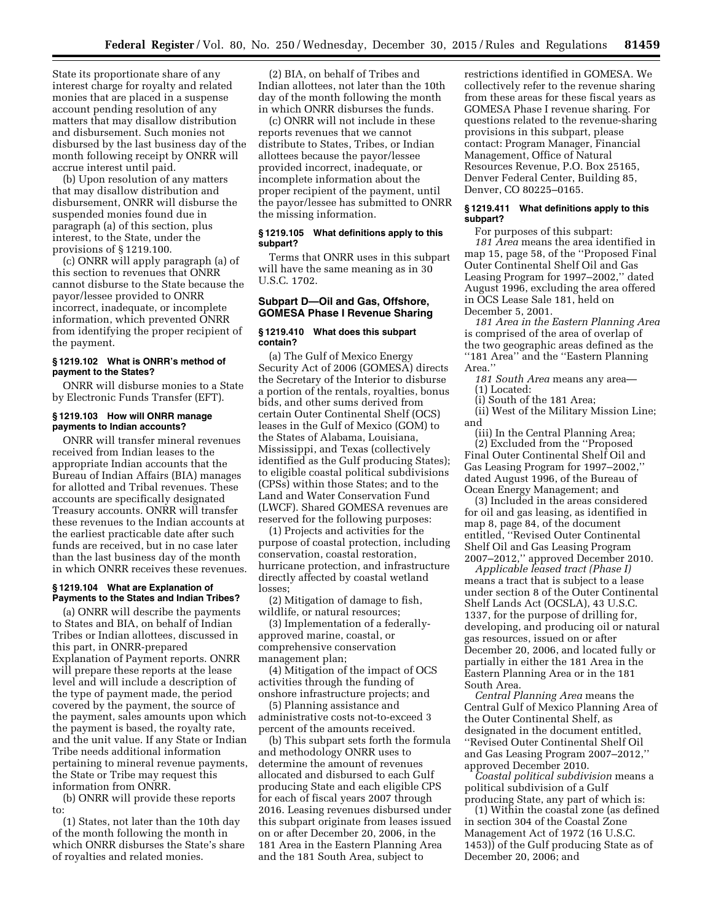State its proportionate share of any interest charge for royalty and related monies that are placed in a suspense account pending resolution of any matters that may disallow distribution and disbursement. Such monies not disbursed by the last business day of the month following receipt by ONRR will accrue interest until paid.

(b) Upon resolution of any matters that may disallow distribution and disbursement, ONRR will disburse the suspended monies found due in paragraph (a) of this section, plus interest, to the State, under the provisions of § 1219.100.

(c) ONRR will apply paragraph (a) of this section to revenues that ONRR cannot disburse to the State because the payor/lessee provided to ONRR incorrect, inadequate, or incomplete information, which prevented ONRR from identifying the proper recipient of the payment.

#### **§ 1219.102 What is ONRR's method of payment to the States?**

ONRR will disburse monies to a State by Electronic Funds Transfer (EFT).

### **§ 1219.103 How will ONRR manage payments to Indian accounts?**

ONRR will transfer mineral revenues received from Indian leases to the appropriate Indian accounts that the Bureau of Indian Affairs (BIA) manages for allotted and Tribal revenues. These accounts are specifically designated Treasury accounts. ONRR will transfer these revenues to the Indian accounts at the earliest practicable date after such funds are received, but in no case later than the last business day of the month in which ONRR receives these revenues.

# **§ 1219.104 What are Explanation of Payments to the States and Indian Tribes?**

(a) ONRR will describe the payments to States and BIA, on behalf of Indian Tribes or Indian allottees, discussed in this part, in ONRR-prepared Explanation of Payment reports. ONRR will prepare these reports at the lease level and will include a description of the type of payment made, the period covered by the payment, the source of the payment, sales amounts upon which the payment is based, the royalty rate, and the unit value. If any State or Indian Tribe needs additional information pertaining to mineral revenue payments, the State or Tribe may request this information from ONRR.

(b) ONRR will provide these reports to:

(1) States, not later than the 10th day of the month following the month in which ONRR disburses the State's share of royalties and related monies.

(2) BIA, on behalf of Tribes and Indian allottees, not later than the 10th day of the month following the month in which ONRR disburses the funds.

(c) ONRR will not include in these reports revenues that we cannot distribute to States, Tribes, or Indian allottees because the payor/lessee provided incorrect, inadequate, or incomplete information about the proper recipient of the payment, until the payor/lessee has submitted to ONRR the missing information.

#### **§ 1219.105 What definitions apply to this subpart?**

Terms that ONRR uses in this subpart will have the same meaning as in 30 U.S.C. 1702.

# **Subpart D—Oil and Gas, Offshore, GOMESA Phase I Revenue Sharing**

#### **§ 1219.410 What does this subpart contain?**

(a) The Gulf of Mexico Energy Security Act of 2006 (GOMESA) directs the Secretary of the Interior to disburse a portion of the rentals, royalties, bonus bids, and other sums derived from certain Outer Continental Shelf (OCS) leases in the Gulf of Mexico (GOM) to the States of Alabama, Louisiana, Mississippi, and Texas (collectively identified as the Gulf producing States); to eligible coastal political subdivisions (CPSs) within those States; and to the Land and Water Conservation Fund (LWCF). Shared GOMESA revenues are reserved for the following purposes:

(1) Projects and activities for the purpose of coastal protection, including conservation, coastal restoration, hurricane protection, and infrastructure directly affected by coastal wetland losses;

(2) Mitigation of damage to fish, wildlife, or natural resources;

(3) Implementation of a federallyapproved marine, coastal, or comprehensive conservation management plan;

(4) Mitigation of the impact of OCS activities through the funding of onshore infrastructure projects; and

(5) Planning assistance and administrative costs not-to-exceed 3 percent of the amounts received.

(b) This subpart sets forth the formula and methodology ONRR uses to determine the amount of revenues allocated and disbursed to each Gulf producing State and each eligible CPS for each of fiscal years 2007 through 2016. Leasing revenues disbursed under this subpart originate from leases issued on or after December 20, 2006, in the 181 Area in the Eastern Planning Area and the 181 South Area, subject to

restrictions identified in GOMESA. We collectively refer to the revenue sharing from these areas for these fiscal years as GOMESA Phase I revenue sharing. For questions related to the revenue-sharing provisions in this subpart, please contact: Program Manager, Financial Management, Office of Natural Resources Revenue, P.O. Box 25165, Denver Federal Center, Building 85, Denver, CO 80225–0165.

#### **§ 1219.411 What definitions apply to this subpart?**

For purposes of this subpart: *181 Area* means the area identified in map 15, page 58, of the ''Proposed Final Outer Continental Shelf Oil and Gas Leasing Program for 1997–2002,'' dated August 1996, excluding the area offered in OCS Lease Sale 181, held on December 5, 2001.

*181 Area in the Eastern Planning Area*  is comprised of the area of overlap of the two geographic areas defined as the ''181 Area'' and the ''Eastern Planning Area.''

*181 South Area* means any area— (1) Located:

(i) South of the 181 Area;

(ii) West of the Military Mission Line; and

(iii) In the Central Planning Area; (2) Excluded from the ''Proposed Final Outer Continental Shelf Oil and Gas Leasing Program for 1997–2002,'' dated August 1996, of the Bureau of Ocean Energy Management; and

(3) Included in the areas considered for oil and gas leasing, as identified in map 8, page 84, of the document entitled, ''Revised Outer Continental Shelf Oil and Gas Leasing Program 2007–2012,'' approved December 2010.

*Applicable leased tract (Phase I)*  means a tract that is subject to a lease under section 8 of the Outer Continental Shelf Lands Act (OCSLA), 43 U.S.C. 1337, for the purpose of drilling for, developing, and producing oil or natural gas resources, issued on or after December 20, 2006, and located fully or partially in either the 181 Area in the Eastern Planning Area or in the 181 South Area.

*Central Planning Area* means the Central Gulf of Mexico Planning Area of the Outer Continental Shelf, as designated in the document entitled, ''Revised Outer Continental Shelf Oil and Gas Leasing Program 2007–2012,'' approved December 2010.

*Coastal political subdivision* means a political subdivision of a Gulf producing State, any part of which is:

(1) Within the coastal zone (as defined in section 304 of the Coastal Zone Management Act of 1972 (16 U.S.C. 1453)) of the Gulf producing State as of December 20, 2006; and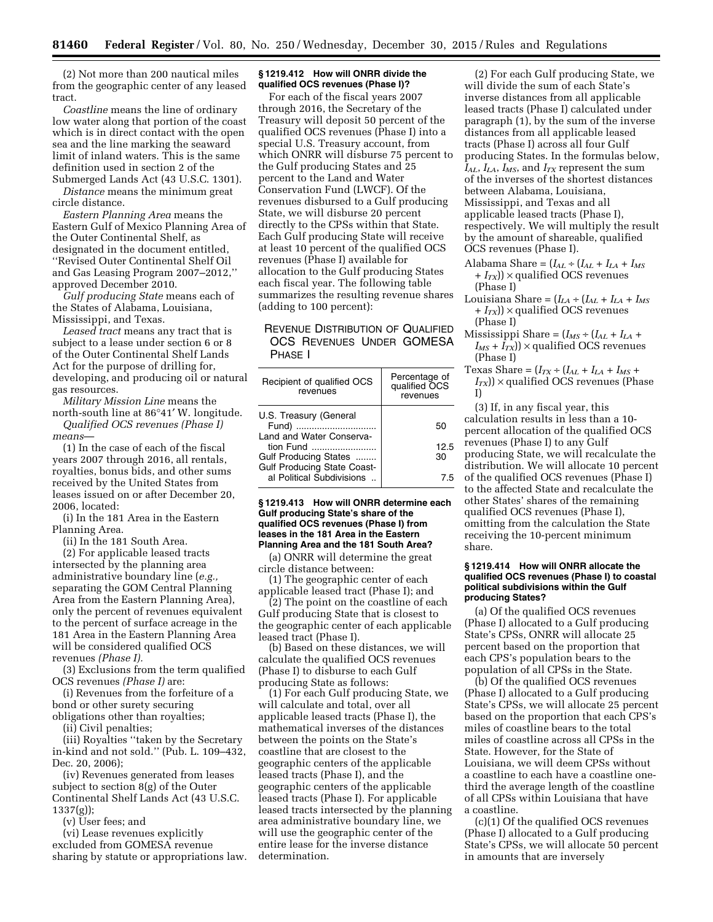(2) Not more than 200 nautical miles from the geographic center of any leased tract.

*Coastline* means the line of ordinary low water along that portion of the coast which is in direct contact with the open sea and the line marking the seaward limit of inland waters. This is the same definition used in section 2 of the Submerged Lands Act (43 U.S.C. 1301).

*Distance* means the minimum great circle distance.

*Eastern Planning Area* means the Eastern Gulf of Mexico Planning Area of the Outer Continental Shelf, as designated in the document entitled, ''Revised Outer Continental Shelf Oil and Gas Leasing Program 2007–2012,'' approved December 2010.

*Gulf producing State* means each of the States of Alabama, Louisiana, Mississippi, and Texas.

*Leased tract* means any tract that is subject to a lease under section 6 or 8 of the Outer Continental Shelf Lands Act for the purpose of drilling for, developing, and producing oil or natural gas resources.

*Military Mission Line* means the north-south line at 86°41′ W. longitude. *Qualified OCS revenues (Phase I)* 

*means*—

(1) In the case of each of the fiscal years 2007 through 2016, all rentals, royalties, bonus bids, and other sums received by the United States from leases issued on or after December 20, 2006, located:

(i) In the 181 Area in the Eastern Planning Area.

(ii) In the 181 South Area.

(2) For applicable leased tracts intersected by the planning area administrative boundary line (*e.g.,*  separating the GOM Central Planning Area from the Eastern Planning Area), only the percent of revenues equivalent to the percent of surface acreage in the 181 Area in the Eastern Planning Area will be considered qualified OCS revenues *(Phase I).* 

(3) Exclusions from the term qualified OCS revenues *(Phase I)* are:

(i) Revenues from the forfeiture of a bond or other surety securing obligations other than royalties;

(ii) Civil penalties;

(iii) Royalties ''taken by the Secretary in-kind and not sold.'' (Pub. L. 109–432, Dec. 20, 2006);

(iv) Revenues generated from leases subject to section 8(g) of the Outer Continental Shelf Lands Act (43 U.S.C. 1337(g));

(v) User fees; and

(vi) Lease revenues explicitly excluded from GOMESA revenue sharing by statute or appropriations law.

### **§ 1219.412 How will ONRR divide the qualified OCS revenues (Phase I)?**

For each of the fiscal years 2007 through 2016, the Secretary of the Treasury will deposit 50 percent of the qualified OCS revenues (Phase I) into a special U.S. Treasury account, from which ONRR will disburse 75 percent to the Gulf producing States and 25 percent to the Land and Water Conservation Fund (LWCF). Of the revenues disbursed to a Gulf producing State, we will disburse 20 percent directly to the CPSs within that State. Each Gulf producing State will receive at least 10 percent of the qualified OCS revenues (Phase I) available for allocation to the Gulf producing States each fiscal year. The following table summarizes the resulting revenue shares (adding to 100 percent):

# REVENUE DISTRIBUTION OF QUALIFIED OCS REVENUES UNDER GOMESA PHASE I

| Recipient of qualified OCS<br>revenues                          | Percentage of<br>qualified OCS<br>revenues |
|-----------------------------------------------------------------|--------------------------------------------|
| U.S. Treasury (General<br>Fund)<br>Land and Water Conserva-     | 50                                         |
| tion Fund<br>Gulf Producing States                              | 12.5<br>30                                 |
| <b>Gulf Producing State Coast-</b><br>al Political Subdivisions | 75                                         |

#### **§ 1219.413 How will ONRR determine each Gulf producing State's share of the qualified OCS revenues (Phase I) from leases in the 181 Area in the Eastern Planning Area and the 181 South Area?**

(a) ONRR will determine the great circle distance between:

(1) The geographic center of each applicable leased tract (Phase I); and

(2) The point on the coastline of each Gulf producing State that is closest to the geographic center of each applicable leased tract (Phase I).

(b) Based on these distances, we will calculate the qualified OCS revenues (Phase I) to disburse to each Gulf producing State as follows:

(1) For each Gulf producing State, we will calculate and total, over all applicable leased tracts (Phase I), the mathematical inverses of the distances between the points on the State's coastline that are closest to the geographic centers of the applicable leased tracts (Phase I), and the geographic centers of the applicable leased tracts (Phase I). For applicable leased tracts intersected by the planning area administrative boundary line, we will use the geographic center of the entire lease for the inverse distance determination.

(2) For each Gulf producing State, we will divide the sum of each State's inverse distances from all applicable leased tracts (Phase I) calculated under paragraph (1), by the sum of the inverse distances from all applicable leased tracts (Phase I) across all four Gulf producing States. In the formulas below, *IAL*, *ILA*, *IMS*, and *ITX* represent the sum of the inverses of the shortest distances between Alabama, Louisiana, Mississippi, and Texas and all applicable leased tracts (Phase I), respectively. We will multiply the result by the amount of shareable, qualified OCS revenues (Phase I).

- Alabama Share =  $(I_{AL} \div (I_{AL} + I_{LA} + I_{MS}))$ + *ITX*)) × qualified OCS revenues (Phase I)
- Louisiana Share =  $(I_{LA} \div (I_{AL} + I_{LA} + I_{MS}))$ + *ITX*)) × qualified OCS revenues (Phase I)
- Mississippi Share =  $(I_{MS} \div (I_{AL} + I_{LA} + I_{LA}))$  $I_{MS} + I_{TX}$ ) × qualified OCS revenues (Phase I)
- Texas Share =  $(I_{TX} \div (I_{AL} + I_{LA} + I_{MS} + I_{MS}))$  $I_{TX}$ )  $\times$  qualified OCS revenues (Phase I)

(3) If, in any fiscal year, this calculation results in less than a 10 percent allocation of the qualified OCS revenues (Phase I) to any Gulf producing State, we will recalculate the distribution. We will allocate 10 percent of the qualified OCS revenues (Phase I) to the affected State and recalculate the other States' shares of the remaining qualified OCS revenues (Phase I), omitting from the calculation the State receiving the 10-percent minimum share.

### **§ 1219.414 How will ONRR allocate the qualified OCS revenues (Phase I) to coastal political subdivisions within the Gulf producing States?**

(a) Of the qualified OCS revenues (Phase I) allocated to a Gulf producing State's CPSs, ONRR will allocate 25 percent based on the proportion that each CPS's population bears to the population of all CPSs in the State.

(b) Of the qualified OCS revenues (Phase I) allocated to a Gulf producing State's CPSs, we will allocate 25 percent based on the proportion that each CPS's miles of coastline bears to the total miles of coastline across all CPSs in the State. However, for the State of Louisiana, we will deem CPSs without a coastline to each have a coastline onethird the average length of the coastline of all CPSs within Louisiana that have a coastline.

(c)(1) Of the qualified OCS revenues (Phase I) allocated to a Gulf producing State's CPSs, we will allocate 50 percent in amounts that are inversely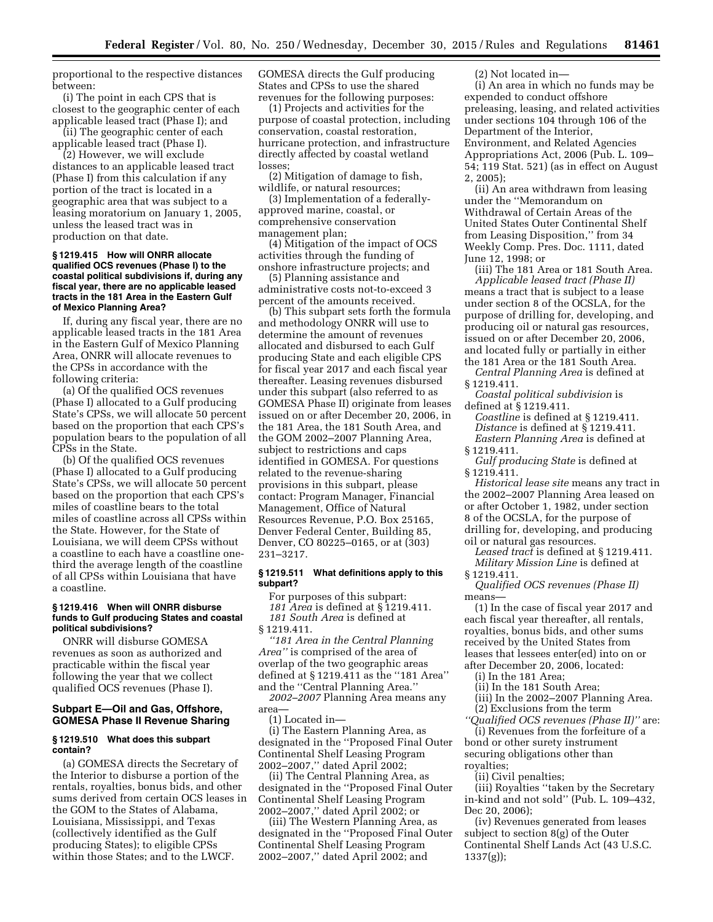proportional to the respective distances between:

(i) The point in each CPS that is closest to the geographic center of each applicable leased tract (Phase I); and (ii) The geographic center of each

applicable leased tract (Phase I).

(2) However, we will exclude distances to an applicable leased tract (Phase I) from this calculation if any portion of the tract is located in a geographic area that was subject to a leasing moratorium on January 1, 2005, unless the leased tract was in production on that date.

#### **§ 1219.415 How will ONRR allocate qualified OCS revenues (Phase I) to the coastal political subdivisions if, during any fiscal year, there are no applicable leased tracts in the 181 Area in the Eastern Gulf of Mexico Planning Area?**

If, during any fiscal year, there are no applicable leased tracts in the 181 Area in the Eastern Gulf of Mexico Planning Area, ONRR will allocate revenues to the CPSs in accordance with the following criteria:

(a) Of the qualified OCS revenues (Phase I) allocated to a Gulf producing State's CPSs, we will allocate 50 percent based on the proportion that each CPS's population bears to the population of all CPSs in the State.

(b) Of the qualified OCS revenues (Phase I) allocated to a Gulf producing State's CPSs, we will allocate 50 percent based on the proportion that each CPS's miles of coastline bears to the total miles of coastline across all CPSs within the State. However, for the State of Louisiana, we will deem CPSs without a coastline to each have a coastline onethird the average length of the coastline of all CPSs within Louisiana that have a coastline.

### **§ 1219.416 When will ONRR disburse funds to Gulf producing States and coastal political subdivisions?**

ONRR will disburse GOMESA revenues as soon as authorized and practicable within the fiscal year following the year that we collect qualified OCS revenues (Phase I).

# **Subpart E—Oil and Gas, Offshore, GOMESA Phase II Revenue Sharing**

#### **§ 1219.510 What does this subpart contain?**

(a) GOMESA directs the Secretary of the Interior to disburse a portion of the rentals, royalties, bonus bids, and other sums derived from certain OCS leases in the GOM to the States of Alabama, Louisiana, Mississippi, and Texas (collectively identified as the Gulf producing States); to eligible CPSs within those States; and to the LWCF.

GOMESA directs the Gulf producing States and CPSs to use the shared revenues for the following purposes:

(1) Projects and activities for the purpose of coastal protection, including conservation, coastal restoration, hurricane protection, and infrastructure directly affected by coastal wetland losses;

(2) Mitigation of damage to fish, wildlife, or natural resources;

(3) Implementation of a federallyapproved marine, coastal, or comprehensive conservation management plan;

(4) Mitigation of the impact of OCS activities through the funding of onshore infrastructure projects; and

(5) Planning assistance and administrative costs not-to-exceed 3 percent of the amounts received.

(b) This subpart sets forth the formula and methodology ONRR will use to determine the amount of revenues allocated and disbursed to each Gulf producing State and each eligible CPS for fiscal year 2017 and each fiscal year thereafter. Leasing revenues disbursed under this subpart (also referred to as GOMESA Phase II) originate from leases issued on or after December 20, 2006, in the 181 Area, the 181 South Area, and the GOM 2002–2007 Planning Area, subject to restrictions and caps identified in GOMESA. For questions related to the revenue-sharing provisions in this subpart, please contact: Program Manager, Financial Management, Office of Natural Resources Revenue, P.O. Box 25165, Denver Federal Center, Building 85, Denver, CO 80225–0165, or at (303) 231–3217.

### **§ 1219.511 What definitions apply to this subpart?**

For purposes of this subpart: *181 Area* is defined at § 1219.411. *181 South Area* is defined at § 1219.411.

*''181 Area in the Central Planning Area''* is comprised of the area of overlap of the two geographic areas defined at § 1219.411 as the ''181 Area'' and the ''Central Planning Area.''

*2002–2007* Planning Area means any area—

(1) Located in—

(i) The Eastern Planning Area, as designated in the ''Proposed Final Outer Continental Shelf Leasing Program 2002–2007,'' dated April 2002;

(ii) The Central Planning Area, as designated in the ''Proposed Final Outer Continental Shelf Leasing Program 2002–2007,'' dated April 2002; or

(iii) The Western Planning Area, as designated in the ''Proposed Final Outer Continental Shelf Leasing Program 2002–2007,'' dated April 2002; and

(2) Not located in—

(i) An area in which no funds may be expended to conduct offshore preleasing, leasing, and related activities under sections 104 through 106 of the Department of the Interior, Environment, and Related Agencies Appropriations Act, 2006 (Pub. L. 109– 54; 119 Stat. 521) (as in effect on August 2, 2005);

(ii) An area withdrawn from leasing under the ''Memorandum on Withdrawal of Certain Areas of the United States Outer Continental Shelf from Leasing Disposition,'' from 34 Weekly Comp. Pres. Doc. 1111, dated June 12, 1998; or

(iii) The 181 Area or 181 South Area. *Applicable leased tract (Phase II)*  means a tract that is subject to a lease under section 8 of the OCSLA, for the purpose of drilling for, developing, and producing oil or natural gas resources, issued on or after December 20, 2006, and located fully or partially in either the 181 Area or the 181 South Area.

*Central Planning Area* is defined at § 1219.411.

*Coastal political subdivision* is defined at § 1219.411.

*Coastline* is defined at § 1219.411. *Distance* is defined at § 1219.411. *Eastern Planning Area* is defined at

§ 1219.411.

*Gulf producing State* is defined at § 1219.411.

*Historical lease site* means any tract in the 2002–2007 Planning Area leased on or after October 1, 1982, under section 8 of the OCSLA, for the purpose of drilling for, developing, and producing oil or natural gas resources.

*Leased tract* is defined at § 1219.411. *Military Mission Line* is defined at § 1219.411.

*Qualified OCS revenues (Phase II)*  means—

(1) In the case of fiscal year 2017 and each fiscal year thereafter, all rentals, royalties, bonus bids, and other sums received by the United States from leases that lessees enter(ed) into on or after December 20, 2006, located:

(i) In the 181 Area;

(ii) In the 181 South Area;

(iii) In the 2002–2007 Planning Area. (2) Exclusions from the term

*''Qualified OCS revenues (Phase II)''* are:

(i) Revenues from the forfeiture of a bond or other surety instrument securing obligations other than royalties;

(ii) Civil penalties;

(iii) Royalties ''taken by the Secretary in-kind and not sold'' (Pub. L. 109–432, Dec 20, 2006);

(iv) Revenues generated from leases subject to section 8(g) of the Outer Continental Shelf Lands Act (43 U.S.C. 1337(g));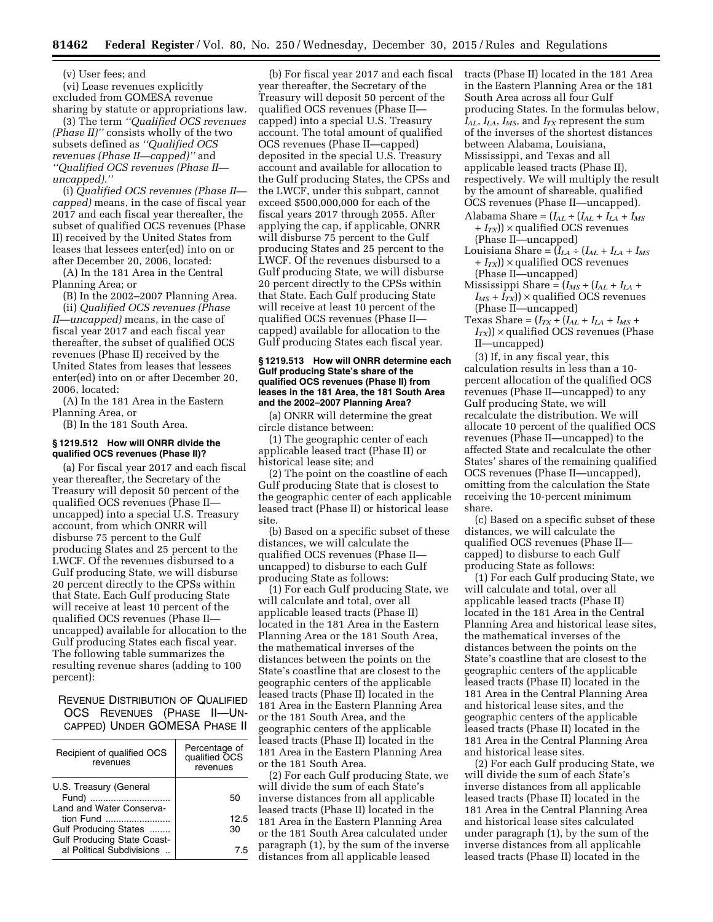(v) User fees; and

(vi) Lease revenues explicitly excluded from GOMESA revenue sharing by statute or appropriations law.

(3) The term *''Qualified OCS revenues (Phase II)''* consists wholly of the two subsets defined as *''Qualified OCS revenues (Phase II—capped)''* and *''Qualified OCS revenues (Phase II uncapped).''* 

(i) *Qualified OCS revenues (Phase II capped)* means, in the case of fiscal year 2017 and each fiscal year thereafter, the subset of qualified OCS revenues (Phase II) received by the United States from leases that lessees enter(ed) into on or after December 20, 2006, located:

(A) In the 181 Area in the Central Planning Area; or

(B) In the 2002–2007 Planning Area.

(ii) *Qualified OCS revenues (Phase II—uncapped)* means, in the case of fiscal year 2017 and each fiscal year thereafter, the subset of qualified OCS revenues (Phase II) received by the United States from leases that lessees enter(ed) into on or after December 20, 2006, located:

(A) In the 181 Area in the Eastern Planning Area, or

(B) In the 181 South Area.

# **§ 1219.512 How will ONRR divide the qualified OCS revenues (Phase II)?**

(a) For fiscal year 2017 and each fiscal year thereafter, the Secretary of the Treasury will deposit 50 percent of the qualified OCS revenues (Phase II uncapped) into a special U.S. Treasury account, from which ONRR will disburse 75 percent to the Gulf producing States and 25 percent to the LWCF. Of the revenues disbursed to a Gulf producing State, we will disburse 20 percent directly to the CPSs within that State. Each Gulf producing State will receive at least 10 percent of the qualified OCS revenues (Phase II uncapped) available for allocation to the Gulf producing States each fiscal year. The following table summarizes the resulting revenue shares (adding to 100 percent):

REVENUE DISTRIBUTION OF QUALIFIED OCS REVENUES (PHASE II—UN-CAPPED) UNDER GOMESA PHASE II

| Recipient of qualified OCS<br>revenues                          | Percentage of<br>qualified OCS<br>revenues |
|-----------------------------------------------------------------|--------------------------------------------|
| U.S. Treasury (General<br>Fund)<br>Land and Water Conserva-     | 50                                         |
| tion Fund                                                       | 12.5                                       |
| Gulf Producing States                                           | 30                                         |
| <b>Gulf Producing State Coast-</b><br>al Political Subdivisions | 75                                         |

(b) For fiscal year 2017 and each fiscal year thereafter, the Secretary of the Treasury will deposit 50 percent of the qualified OCS revenues (Phase II capped) into a special U.S. Treasury account. The total amount of qualified OCS revenues (Phase II—capped) deposited in the special U.S. Treasury account and available for allocation to the Gulf producing States, the CPSs and the LWCF, under this subpart, cannot exceed \$500,000,000 for each of the fiscal years 2017 through 2055. After applying the cap, if applicable, ONRR will disburse 75 percent to the Gulf producing States and 25 percent to the LWCF. Of the revenues disbursed to a Gulf producing State, we will disburse 20 percent directly to the CPSs within that State. Each Gulf producing State will receive at least 10 percent of the qualified OCS revenues (Phase II capped) available for allocation to the Gulf producing States each fiscal year.

#### **§ 1219.513 How will ONRR determine each Gulf producing State's share of the qualified OCS revenues (Phase II) from leases in the 181 Area, the 181 South Area and the 2002–2007 Planning Area?**

(a) ONRR will determine the great circle distance between:

(1) The geographic center of each applicable leased tract (Phase II) or historical lease site; and

(2) The point on the coastline of each Gulf producing State that is closest to the geographic center of each applicable leased tract (Phase II) or historical lease site.

(b) Based on a specific subset of these distances, we will calculate the qualified OCS revenues (Phase II uncapped) to disburse to each Gulf producing State as follows:

(1) For each Gulf producing State, we will calculate and total, over all applicable leased tracts (Phase II) located in the 181 Area in the Eastern Planning Area or the 181 South Area, the mathematical inverses of the distances between the points on the State's coastline that are closest to the geographic centers of the applicable leased tracts (Phase II) located in the 181 Area in the Eastern Planning Area or the 181 South Area, and the geographic centers of the applicable leased tracts (Phase II) located in the 181 Area in the Eastern Planning Area or the 181 South Area.

(2) For each Gulf producing State, we will divide the sum of each State's inverse distances from all applicable leased tracts (Phase II) located in the 181 Area in the Eastern Planning Area or the 181 South Area calculated under paragraph (1), by the sum of the inverse distances from all applicable leased

tracts (Phase II) located in the 181 Area in the Eastern Planning Area or the 181 South Area across all four Gulf producing States. In the formulas below, *IAL*, *ILA*, *IMS*, and *ITX* represent the sum of the inverses of the shortest distances between Alabama, Louisiana, Mississippi, and Texas and all applicable leased tracts (Phase II), respectively. We will multiply the result by the amount of shareable, qualified OCS revenues (Phase II—uncapped).

- Alabama Share =  $(I_{AL} \div (I_{AL} + I_{LA} + I_{MS}))$ + *ITX*)) × qualified OCS revenues (Phase II—uncapped)
- Louisiana Share =  $(I_{LA} \div (I_{AL} + I_{LA} + I_{MS}))$ + *ITX*)) × qualified OCS revenues (Phase II—uncapped)
- $Mississippi Share = (I_{MS} \div (I_{AL} + I_{LA} + I_{MA}))$  $I_{MS} + I_{TX}$ )  $\times$  qualified OCS revenues (Phase II—uncapped)
- Texas Share =  $(I_{TX} \div (I_{AL} + I_{LA} + I_{MS} + I_{MS}))$  $I_{TX}$ ) × qualified OCS revenues (Phase II—uncapped)

(3) If, in any fiscal year, this calculation results in less than a 10 percent allocation of the qualified OCS revenues (Phase II—uncapped) to any Gulf producing State, we will recalculate the distribution. We will allocate 10 percent of the qualified OCS revenues (Phase II—uncapped) to the affected State and recalculate the other States' shares of the remaining qualified OCS revenues (Phase II—uncapped), omitting from the calculation the State receiving the 10-percent minimum share.

(c) Based on a specific subset of these distances, we will calculate the qualified OCS revenues (Phase II capped) to disburse to each Gulf producing State as follows:

(1) For each Gulf producing State, we will calculate and total, over all applicable leased tracts (Phase II) located in the 181 Area in the Central Planning Area and historical lease sites, the mathematical inverses of the distances between the points on the State's coastline that are closest to the geographic centers of the applicable leased tracts (Phase II) located in the 181 Area in the Central Planning Area and historical lease sites, and the geographic centers of the applicable leased tracts (Phase II) located in the 181 Area in the Central Planning Area and historical lease sites.

(2) For each Gulf producing State, we will divide the sum of each State's inverse distances from all applicable leased tracts (Phase II) located in the 181 Area in the Central Planning Area and historical lease sites calculated under paragraph (1), by the sum of the inverse distances from all applicable leased tracts (Phase II) located in the